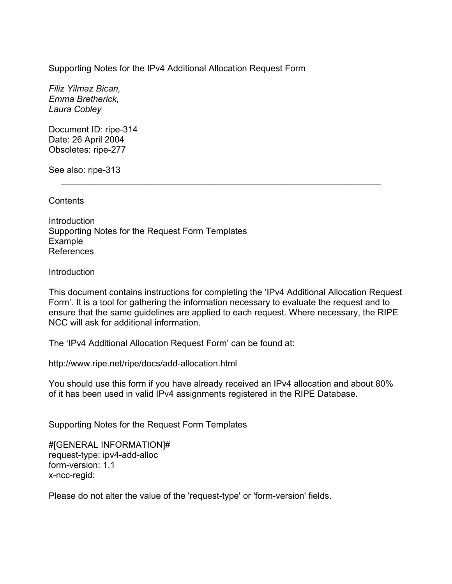Supporting Notes for the IPv4 Additional Allocation Request Form

*Filiz Yilmaz Bican, Emma Bretherick, Laura Cobley* 

Document ID: ripe-314 Date: 26 April 2004 Obsoletes: ripe-277

See also: ripe-313

Contents

**Introduction** Supporting Notes for the Request Form Templates Example References

**Introduction** 

This document contains instructions for completing the 'IPv4 Additional Allocation Request Form'. It is a tool for gathering the information necessary to evaluate the request and to ensure that the same guidelines are applied to each request. Where necessary, the RIPE NCC will ask for additional information.

 $\mathcal{L}=\underbrace{\mathcal{L}=\mathcal{L}=\mathcal{L}=\mathcal{L}=\mathcal{L}=\mathcal{L}=\mathcal{L}=\mathcal{L}=\mathcal{L}=\mathcal{L}=\mathcal{L}=\mathcal{L}=\mathcal{L}=\mathcal{L}=\mathcal{L}=\mathcal{L}=\mathcal{L}=\mathcal{L}=\mathcal{L}=\mathcal{L}=\mathcal{L}=\mathcal{L}=\mathcal{L}=\mathcal{L}=\mathcal{L}=\mathcal{L}=\mathcal{L}=\mathcal{L}=\mathcal{L}=\mathcal{L}=\mathcal{L}=\mathcal{L}=\mathcal{L}=\mathcal{L}=\mathcal{L}=\$ 

The 'IPv4 Additional Allocation Request Form' can be found at:

http://www.ripe.net/ripe/docs/add-allocation.html

You should use this form if you have already received an IPv4 allocation and about 80% of it has been used in valid IPv4 assignments registered in the RIPE Database.

Supporting Notes for the Request Form Templates

#[GENERAL INFORMATION]# request-type: ipv4-add-alloc form-version: 1.1 x-ncc-regid:

Please do not alter the value of the 'request-type' or 'form-version' fields.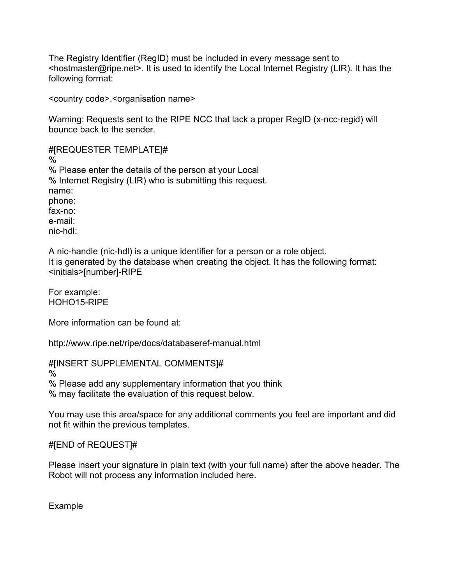The Registry Identifier (RegID) must be included in every message sent to <hostmaster@ripe.net>. It is used to identify the Local Internet Registry (LIR). It has the following format:

<country code>.<organisation name>

Warning: Requests sent to the RIPE NCC that lack a proper RegID (x-ncc-regid) will bounce back to the sender.

#[REQUESTER TEMPLATE]# % % Please enter the details of the person at your Local % Internet Registry (LIR) who is submitting this request. name: phone: fax-no: e-mail: nic-hdl:

A nic-handle (nic-hdl) is a unique identifier for a person or a role object. It is generated by the database when creating the object. It has the following format: <initials>[number]-RIPE

For example: HOHO15-RIPE

More information can be found at:

http://www.ripe.net/ripe/docs/databaseref-manual.html

#[INSERT SUPPLEMENTAL COMMENTS]#

%

% Please add any supplementary information that you think % may facilitate the evaluation of this request below.

You may use this area/space for any additional comments you feel are important and did not fit within the previous templates.

#[END of REQUEST]#

Please insert your signature in plain text (with your full name) after the above header. The Robot will not process any information included here.

Example